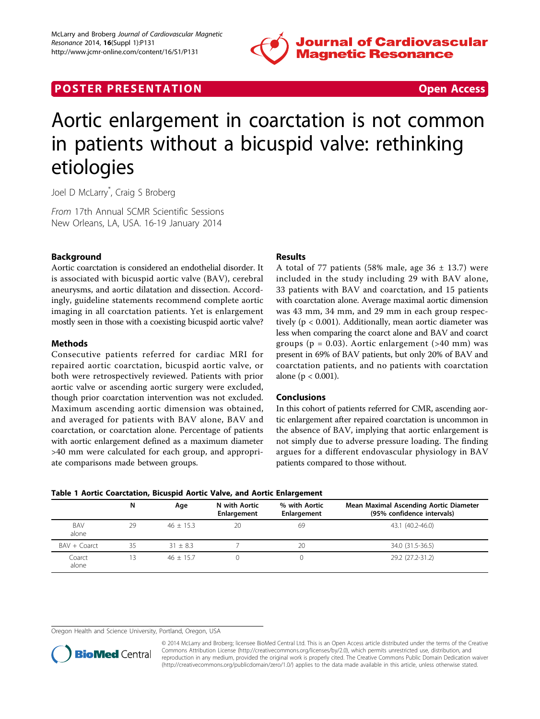

# **POSTER PRESENTATION CONSUMING THE SECOND CONSUMING THE SECOND CONSUMING THE SECOND CONSUMING THE SECOND CONSUMING THE SECOND CONSUMING THE SECOND CONSUMING THE SECOND CONSUMING THE SECOND CONSUMING THE SECOND CONSUMING**



# Aortic enlargement in coarctation is not common in patients without a bicuspid valve: rethinking etiologies

Joel D McLarry\* , Craig S Broberg

From 17th Annual SCMR Scientific Sessions New Orleans, LA, USA. 16-19 January 2014

# Background

Aortic coarctation is considered an endothelial disorder. It is associated with bicuspid aortic valve (BAV), cerebral aneurysms, and aortic dilatation and dissection. Accordingly, guideline statements recommend complete aortic imaging in all coarctation patients. Yet is enlargement mostly seen in those with a coexisting bicuspid aortic valve?

## Methods

Consecutive patients referred for cardiac MRI for repaired aortic coarctation, bicuspid aortic valve, or both were retrospectively reviewed. Patients with prior aortic valve or ascending aortic surgery were excluded, though prior coarctation intervention was not excluded. Maximum ascending aortic dimension was obtained, and averaged for patients with BAV alone, BAV and coarctation, or coarctation alone. Percentage of patients with aortic enlargement defined as a maximum diameter >40 mm were calculated for each group, and appropriate comparisons made between groups.

#### Results

A total of 77 patients (58% male, age  $36 \pm 13.7$ ) were included in the study including 29 with BAV alone, 33 patients with BAV and coarctation, and 15 patients with coarctation alone. Average maximal aortic dimension was 43 mm, 34 mm, and 29 mm in each group respectively (p < 0.001). Additionally, mean aortic diameter was less when comparing the coarct alone and BAV and coarct groups ( $p = 0.03$ ). Aortic enlargement (>40 mm) was present in 69% of BAV patients, but only 20% of BAV and coarctation patients, and no patients with coarctation alone (p < 0.001).

## Conclusions

In this cohort of patients referred for CMR, ascending aortic enlargement after repaired coarctation is uncommon in the absence of BAV, implying that aortic enlargement is not simply due to adverse pressure loading. The finding argues for a different endovascular physiology in BAV patients compared to those without.

|  |  |  |  |  |  |  |  |  | Table 1 Aortic Coarctation, Bicuspid Aortic Valve, and Aortic Enlargement |
|--|--|--|--|--|--|--|--|--|---------------------------------------------------------------------------|
|--|--|--|--|--|--|--|--|--|---------------------------------------------------------------------------|

|                 | N. | Age         | N with Aortic<br>Enlargement | % with Aortic<br>Enlargement | Mean Maximal Ascending Aortic Diameter<br>(95% confidence intervals) |
|-----------------|----|-------------|------------------------------|------------------------------|----------------------------------------------------------------------|
| BAV<br>alone    | 29 | $46 + 15.3$ | 20                           | 69                           | 43.1 (40.2-46.0)                                                     |
| BAV + Coarct    | 35 | $31 + 83$   |                              | 20                           | 34.0 (31.5-36.5)                                                     |
| Coarct<br>alone | 13 | $46 + 15.7$ |                              |                              | 29.2 (27.2-31.2)                                                     |

Oregon Health and Science University, Portland, Oregon, USA



© 2014 McLarry and Broberg; licensee BioMed Central Ltd. This is an Open Access article distributed under the terms of the Creative Commons Attribution License [\(http://creativecommons.org/licenses/by/2.0](http://creativecommons.org/licenses/by/2.0)), which permits unrestricted use, distribution, and reproduction in any medium, provided the original work is properly cited. The Creative Commons Public Domain Dedication waiver [\(http://creativecommons.org/publicdomain/zero/1.0/](http://creativecommons.org/publicdomain/zero/1.0/)) applies to the data made available in this article, unless otherwise stated.